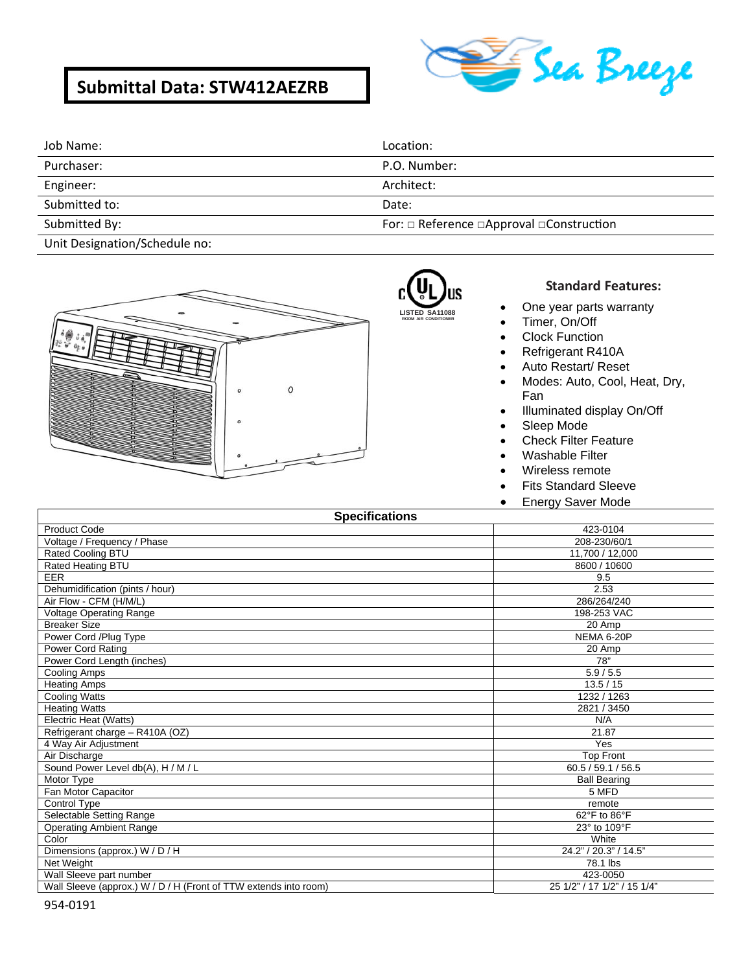# **Submittal Data: STW412AEZRB**



| Job Name:     | Location:                                                 |
|---------------|-----------------------------------------------------------|
| Purchaser:    | P.O. Number:                                              |
| Engineer:     | Architect:                                                |
| Submitted to: | Date:                                                     |
| Submitted By: | For: $\Box$ Reference $\Box$ Approval $\Box$ Construction |

Unit Designation/Schedule no:



# **LISTED SA11088**

**ROOM AIR CONDITIONER**

### **Standard Features:**

- One year parts warranty
- Timer, On/Off
- Clock Function
- Refrigerant R410A
- Auto Restart/ Reset
- Modes: Auto, Cool, Heat, Dry, Fan
- Illuminated display On/Off
- Sleep Mode
- Check Filter Feature
- Washable Filter
- Wireless remote
- Fits Standard Sleeve
- Energy Saver Mode

|  |  |  |  |  | <b>Specifications</b> |
|--|--|--|--|--|-----------------------|
|--|--|--|--|--|-----------------------|

| opecincations                                                    |                             |  |
|------------------------------------------------------------------|-----------------------------|--|
| <b>Product Code</b>                                              | 423-0104                    |  |
| Voltage / Frequency / Phase                                      | 208-230/60/1                |  |
| Rated Cooling BTU                                                | 11,700 / 12,000             |  |
| Rated Heating BTU                                                | 8600 / 10600                |  |
| <b>EER</b>                                                       | 9.5                         |  |
| Dehumidification (pints / hour)                                  | 2.53                        |  |
| Air Flow - CFM (H/M/L)                                           | 286/264/240                 |  |
| Voltage Operating Range                                          | 198-253 VAC                 |  |
| <b>Breaker Size</b>                                              | 20 Amp                      |  |
| Power Cord / Plug Type                                           | NEMA 6-20P                  |  |
| Power Cord Rating                                                | 20 Amp                      |  |
| Power Cord Length (inches)                                       | 78"                         |  |
| Cooling Amps                                                     | 5.9 / 5.5                   |  |
| <b>Heating Amps</b>                                              | 13.5/15                     |  |
| <b>Cooling Watts</b>                                             | 1232 / 1263                 |  |
| <b>Heating Watts</b>                                             | 2821 / 3450                 |  |
| Electric Heat (Watts)                                            | N/A                         |  |
| Refrigerant charge - R410A (OZ)                                  | 21.87                       |  |
| 4 Way Air Adjustment                                             | Yes                         |  |
| Air Discharge                                                    | <b>Top Front</b>            |  |
| Sound Power Level db(A), H / M / L                               | 60.5 / 59.1 / 56.5          |  |
| Motor Type                                                       | <b>Ball Bearing</b>         |  |
| Fan Motor Capacitor                                              | 5 MFD                       |  |
| Control Type                                                     | remote                      |  |
| Selectable Setting Range                                         | 62°F to 86°F                |  |
| <b>Operating Ambient Range</b>                                   | 23° to 109°F                |  |
| Color                                                            | White                       |  |
| Dimensions (approx.) W / D / H                                   | 24.2" / 20.3" / 14.5"       |  |
| Net Weight                                                       | 78.1 lbs                    |  |
| Wall Sleeve part number                                          | 423-0050                    |  |
| Wall Sleeve (approx.) W / D / H (Front of TTW extends into room) | 25 1/2" / 17 1/2" / 15 1/4" |  |